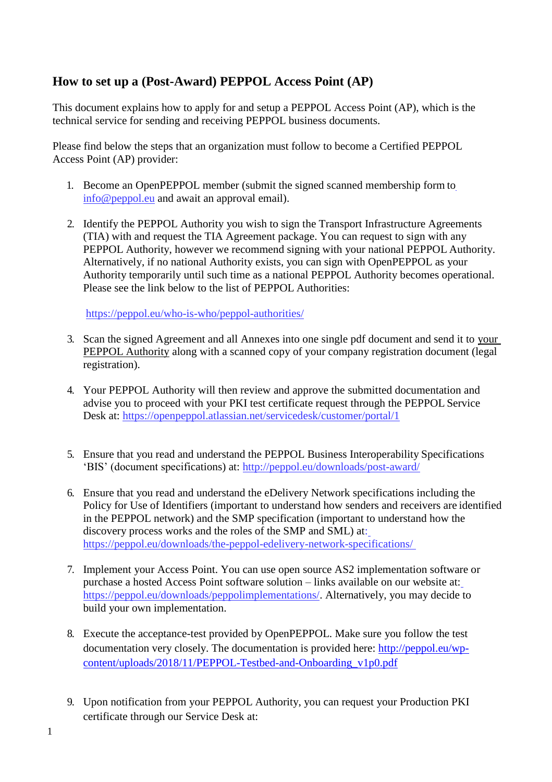# **How to set up a (Post-Award) PEPPOL Access Point (AP)**

This document explains how to apply for and setup a PEPPOL Access Point (AP), which is the technical service for sending and receiving PEPPOL business documents.

Please find below the steps that an organization must follow to become a Certified PEPPOL Access Point (AP) provider:

- 1. Become an OpenPEPPOL member (submit the signed scanned membership form to [info@peppol.eu](mailto:info@peppol.eu) and await an approval email).
- 2. Identify the PEPPOL Authority you wish to sign the Transport Infrastructure Agreements (TIA) with and request the TIA Agreement package. You can request to sign with any PEPPOL Authority, however we recommend signing with your national PEPPOL Authority. Alternatively, if no national Authority exists, you can sign with OpenPEPPOL as your Authority temporarily until such time as a national PEPPOL Authority becomes operational. Please see the link below to the list of PEPPOL Authorities:

<https://peppol.eu/who-is-who/peppol-authorities/>

- 3. Scan the signed Agreement and all Annexes into one single pdf document and send it to your PEPPOL Authority along with a scanned copy of your company registration document (legal registration).
- 4. Your PEPPOL Authority will then review and approve the submitted documentation and advise you to proceed with your PKI test certificate request through the PEPPOL Service Desk at: <https://openpeppol.atlassian.net/servicedesk/customer/portal/1>
- 5. Ensure that you read and understand the PEPPOL Business Interoperability Specifications 'BIS' (document specifications) at: <http://peppol.eu/downloads/post-award/>
- 6. Ensure that you read and understand the eDelivery Network specifications including the Policy for Use of Identifiers (important to understand how senders and receivers are identified in the PEPPOL network) and the SMP specification (important to understand how the discovery process works and the roles of the SMP and SML) at: <https://peppol.eu/downloads/the-peppol-edelivery-network-specifications/>
- 7. Implement your Access Point. You can use open source AS2 implementation software or purchase a hosted Access Point software solution – links available on our website at: [https://peppol.eu/downloads/peppolimplementations/.](https://peppol.eu/downloads/peppolimplementations/) Alternatively, you may decide to build your own implementation.
- 8. Execute the acceptance-test provided by OpenPEPPOL. Make sure you follow the test documentation very closely. The documentation is provided here: [http://peppol.eu/wp](http://peppol.eu/wp-content/uploads/2018/11/PEPPOL-Testbed-and-Onboarding_v1p0.pdf)[content/uploads/2018/11/PEPPOL-Testbed-and-Onboarding\\_v1p0.pdf](http://peppol.eu/wp-content/uploads/2018/11/PEPPOL-Testbed-and-Onboarding_v1p0.pdf)
- 9. Upon notification from your PEPPOL Authority, you can request your Production PKI certificate through our Service Desk at: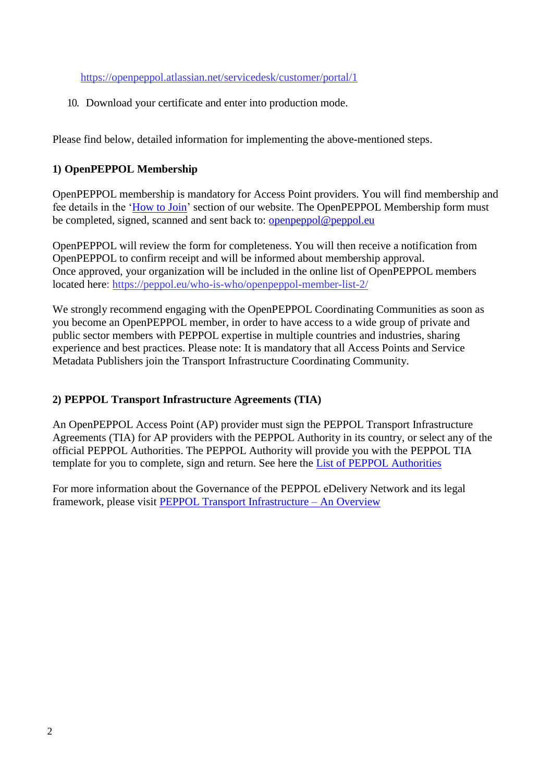<https://openpeppol.atlassian.net/servicedesk/customer/portal/1>

10. Download your certificate and enter into production mode.

Please find below, detailed information for implementing the above-mentioned steps.

### **1) OpenPEPPOL Membership**

OpenPEPPOL membership is mandatory for Access Point providers. You will find membership and fee details in the ['How to Join'](http://peppol.eu/get-involved/join-openpeppol/?rel=tab119) section of our website. The OpenPEPPOL Membership form must be completed, signed, scanned and sent back to: **openpeppol@peppol.eu** 

OpenPEPPOL will review the form for completeness. You will then receive a notification from OpenPEPPOL to confirm receipt and will be informed about membership approval. Once approved, your organization will be included in the online list of OpenPEPPOL members located here:<https://peppol.eu/who-is-who/openpeppol-member-list-2/>

We strongly recommend engaging with the OpenPEPPOL Coordinating Communities as soon as you become an OpenPEPPOL member, in order to have access to a wide group of private and public sector members with PEPPOL expertise in multiple countries and industries, sharing experience and best practices. Please note: It is mandatory that all Access Points and Service Metadata Publishers join the Transport Infrastructure Coordinating Community.

### **2) PEPPOL Transport Infrastructure Agreements (TIA)**

An OpenPEPPOL Access Point (AP) provider must sign the PEPPOL Transport Infrastructure Agreements (TIA) for AP providers with the PEPPOL Authority in its country, or select any of the official PEPPOL Authorities. The PEPPOL Authority will provide you with the PEPPOL TIA template for you to complete, sign and return. See here the [List of PEPPOL Authorities](https://peppol.eu/who-is-who/peppol-authorities/)

For more information about the Governance of the PEPPOL eDelivery Network and its legal framework, please visit [PEPPOL Transport Infrastructure –](https://peppol.eu/what-is-peppol/peppol-transport-infrastructure/) An Overview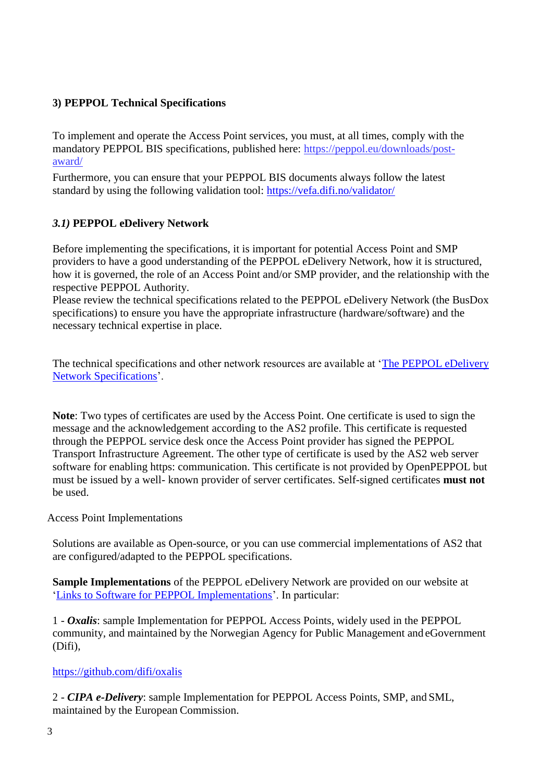### **3) PEPPOL Technical Specifications**

To implement and operate the Access Point services, you must, at all times, comply with the mandatory PEPPOL BIS specifications, published here: [https://peppol.eu/downloads/post](https://peppol.eu/downloads/post-award/)[award/](https://peppol.eu/downloads/post-award/)

Furthermore, you can ensure that your PEPPOL BIS documents always follow the latest standard by using the following validation tool:<https://vefa.difi.no/validator/>

### *3.1)* **PEPPOL eDelivery Network**

Before implementing the specifications, it is important for potential Access Point and SMP providers to have a good understanding of the PEPPOL eDelivery Network, how it is structured, how it is governed, the role of an Access Point and/or SMP provider, and the relationship with the respective PEPPOL Authority.

Please review the technical specifications related to the PEPPOL eDelivery Network (the BusDox specifications) to ensure you have the appropriate infrastructure (hardware/software) and the necessary technical expertise in place.

The technical specifications and other network resources are available at ['The PEPPOL eDelivery](https://peppol.eu/downloads/the-peppol-edelivery-network-specifications/) [Network Specifications'](http://peppol.eu/downloads/?rel=tab87).

**Note**: Two types of certificates are used by the Access Point. One certificate is used to sign the message and the acknowledgement according to the AS2 profile. This certificate is requested through the PEPPOL service desk once the Access Point provider has signed the PEPPOL Transport Infrastructure Agreement. The other type of certificate is used by the AS2 web server software for enabling https: communication. This certificate is not provided by OpenPEPPOL but must be issued by a well- known provider of server certificates. Self-signed certificates **must not**  be used.

Access Point Implementations

Solutions are available as Open-source, or you can use commercial implementations of AS2 that are configured/adapted to the PEPPOL specifications.

**Sample Implementations** of the PEPPOL eDelivery Network are provided on our website at ['Links to Software for PEPPOL Implementations'](https://peppol.eu/downloads/peppolimplementations/). In particular:

1 - *Oxalis*: sample Implementation for PEPPOL Access Points, widely used in the PEPPOL community, and maintained by the Norwegian Agency for Public Management and eGovernment (Difi),

#### <https://github.com/difi/oxalis>

2 - *CIPA e-Delivery*: sample Implementation for PEPPOL Access Points, SMP, and SML, maintained by the European Commission.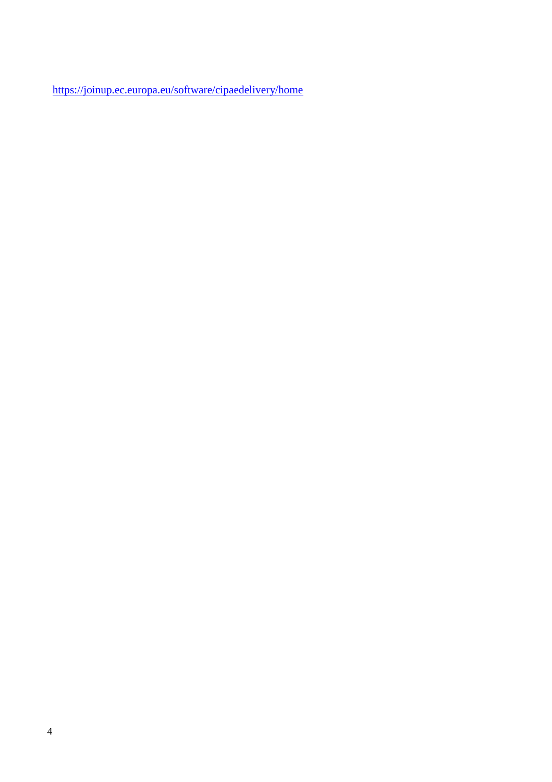<https://joinup.ec.europa.eu/software/cipaedelivery/home>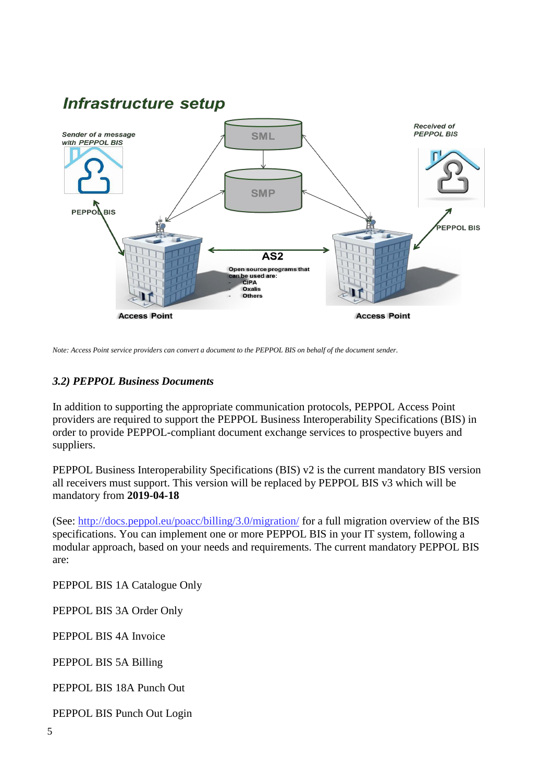## **Infrastructure setup Received of PEPPOL BIS** Sender of a message **SML** with PEPPOL BIS **SMP PEPPOLBIS EPPOL BIS**  $\overline{\mathsf{AS2}}$ Open source programs that can be used are:<br>CIPA Oxalis Others **Access Point Access Point**

*Note: Access Point service providers can convert a document to the PEPPOL BIS on behalf of the document sender.*

#### *3.2) PEPPOL Business Documents*

In addition to supporting the appropriate communication protocols, PEPPOL Access Point providers are required to support the PEPPOL Business Interoperability Specifications (BIS) in order to provide PEPPOL-compliant document exchange services to prospective buyers and suppliers.

PEPPOL Business Interoperability Specifications (BIS) v2 is the current mandatory BIS version all receivers must support. This version will be replaced by PEPPOL BIS v3 which will be mandatory from **2019-04-18**

(See:<http://docs.peppol.eu/poacc/billing/3.0/migration/> for a full migration overview of the BIS specifications. You can implement one or more PEPPOL BIS in your IT system, following a modular approach, based on your needs and requirements. The current mandatory PEPPOL BIS are:

PEPPOL BIS 1A Catalogue Only

PEPPOL BIS 3A Order Only

PEPPOL BIS 4A Invoice

PEPPOL BIS 5A Billing

PEPPOL BIS 18A Punch Out

PEPPOL BIS Punch Out Login